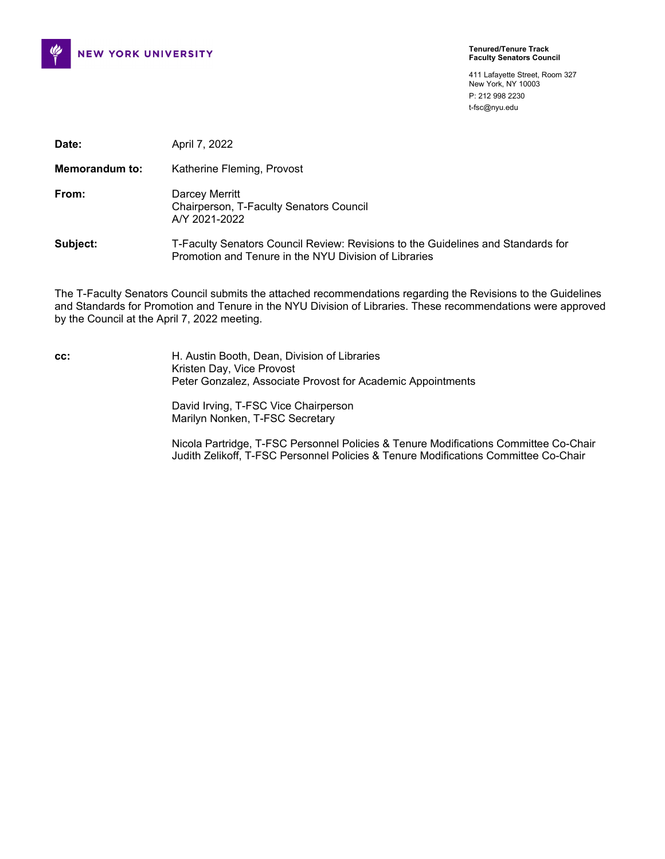

411 Lafayette Street, Room 327 New York, NY 10003 P: 212 998 2230 t-fsc@nyu.edu

| Date:                 | April 7, 2022                                                                                                                             |
|-----------------------|-------------------------------------------------------------------------------------------------------------------------------------------|
| <b>Memorandum to:</b> | Katherine Fleming, Provost                                                                                                                |
| From:                 | Darcey Merritt<br>Chairperson, T-Faculty Senators Council<br>A/Y 2021-2022                                                                |
| Subject:              | T-Faculty Senators Council Review: Revisions to the Guidelines and Standards for<br>Promotion and Tenure in the NYU Division of Libraries |

The T-Faculty Senators Council submits the attached recommendations regarding the Revisions to the Guidelines and Standards for Promotion and Tenure in the NYU Division of Libraries. These recommendations were approved by the Council at the April 7, 2022 meeting.

**cc:** H. Austin Booth, Dean, Division of Libraries Kristen Day, Vice Provost Peter Gonzalez, Associate Provost for Academic Appointments

> David Irving, T-FSC Vice Chairperson Marilyn Nonken, T-FSC Secretary

Nicola Partridge, T-FSC Personnel Policies & Tenure Modifications Committee Co-Chair Judith Zelikoff, T-FSC Personnel Policies & Tenure Modifications Committee Co-Chair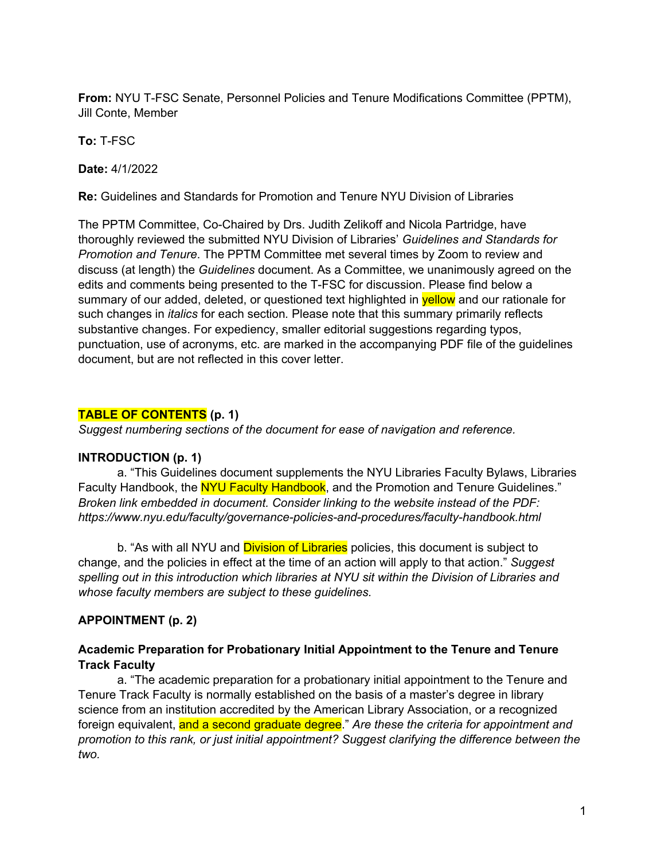**From:** NYU T-FSC Senate, Personnel Policies and Tenure Modifications Committee (PPTM), Jill Conte, Member

**To:** T-FSC

**Date:** 4/1/2022

**Re:** Guidelines and Standards for Promotion and Tenure NYU Division of Libraries

The PPTM Committee, Co-Chaired by Drs. Judith Zelikoff and Nicola Partridge, have thoroughly reviewed the submitted NYU Division of Libraries' *Guidelines and Standards for Promotion and Tenure*. The PPTM Committee met several times by Zoom to review and discuss (at length) the *Guidelines* document. As a Committee, we unanimously agreed on the edits and comments being presented to the T-FSC for discussion. Please find below a summary of our added, deleted, or questioned text highlighted in **yellow** and our rationale for such changes in *italics* for each section*.* Please note that this summary primarily reflects substantive changes. For expediency, smaller editorial suggestions regarding typos, punctuation, use of acronyms, etc. are marked in the accompanying PDF file of the guidelines document, but are not reflected in this cover letter.

#### **TABLE OF CONTENTS (p. 1)**

*Suggest numbering sections of the document for ease of navigation and reference.*

#### **INTRODUCTION (p. 1)**

a. "This Guidelines document supplements the NYU Libraries Faculty Bylaws, Libraries Faculty Handbook, the NYU Faculty Handbook, and the Promotion and Tenure Guidelines." *Broken link embedded in document. Consider linking to the website instead of the PDF: https://www.nyu.edu/faculty/governance-policies-and-procedures/faculty-handbook.html*

b. "As with all NYU and **Division of Libraries** policies, this document is subject to change, and the policies in effect at the time of an action will apply to that action." *Suggest spelling out in this introduction which libraries at NYU sit within the Division of Libraries and whose faculty members are subject to these guidelines.*

#### **APPOINTMENT (p. 2)**

#### **Academic Preparation for Probationary Initial Appointment to the Tenure and Tenure Track Faculty**

a. "The academic preparation for a probationary initial appointment to the Tenure and Tenure Track Faculty is normally established on the basis of a master's degree in library science from an institution accredited by the American Library Association, or a recognized foreign equivalent, and a second graduate degree." *Are these the criteria for appointment and promotion to this rank, or just initial appointment? Suggest clarifying the difference between the two.*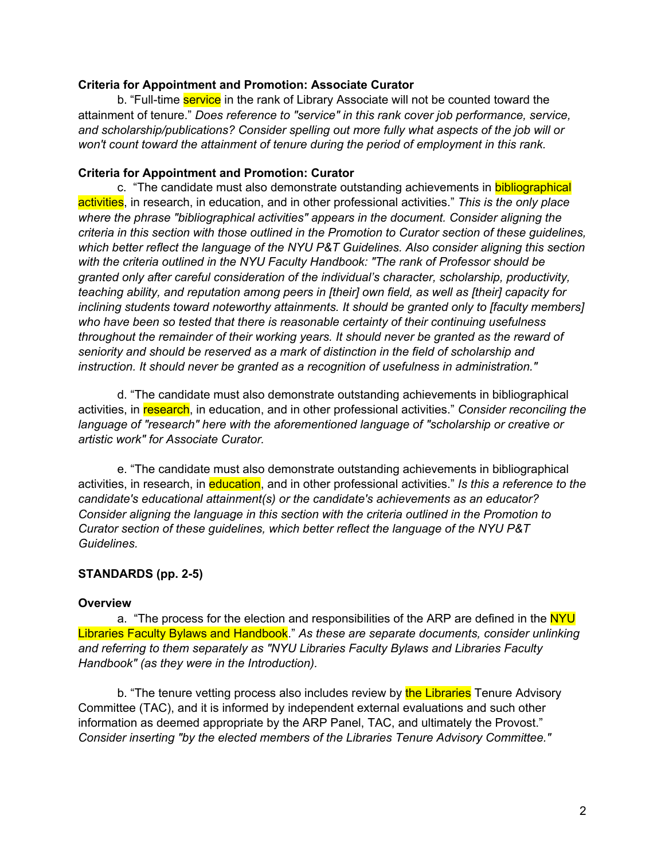#### **Criteria for Appointment and Promotion: Associate Curator**

b. "Full-time **service** in the rank of Library Associate will not be counted toward the attainment of tenure." *Does reference to "service" in this rank cover job performance, service, and scholarship/publications? Consider spelling out more fully what aspects of the job will or won't count toward the attainment of tenure during the period of employment in this rank.*

#### **Criteria for Appointment and Promotion: Curator**

c. "The candidate must also demonstrate outstanding achievements in **bibliographical** activities, in research, in education, and in other professional activities." *This is the only place where the phrase "bibliographical activities" appears in the document. Consider aligning the criteria in this section with those outlined in the Promotion to Curator section of these guidelines, which better reflect the language of the NYU P&T Guidelines. Also consider aligning this section with the criteria outlined in the NYU Faculty Handbook: "The rank of Professor should be granted only after careful consideration of the individual's character, scholarship, productivity, teaching ability, and reputation among peers in [their] own field, as well as [their] capacity for inclining students toward noteworthy attainments. It should be granted only to [faculty members] who have been so tested that there is reasonable certainty of their continuing usefulness throughout the remainder of their working years. It should never be granted as the reward of seniority and should be reserved as a mark of distinction in the field of scholarship and instruction. It should never be granted as a recognition of usefulness in administration."*

d. "The candidate must also demonstrate outstanding achievements in bibliographical activities, in research, in education, and in other professional activities." *Consider reconciling the*  language of "research" here with the aforementioned language of "scholarship or creative or *artistic work" for Associate Curator.*

e. "The candidate must also demonstrate outstanding achievements in bibliographical activities, in research, in education, and in other professional activities." *Is this a reference to the candidate's educational attainment(s) or the candidate's achievements as an educator? Consider aligning the language in this section with the criteria outlined in the Promotion to Curator section of these guidelines, which better reflect the language of the NYU P&T Guidelines.*

#### **STANDARDS (pp. 2-5)**

#### **Overview**

a. "The process for the election and responsibilities of the ARP are defined in the NYU Libraries Faculty Bylaws and Handbook." *As these are separate documents, consider unlinking and referring to them separately as "NYU Libraries Faculty Bylaws and Libraries Faculty Handbook" (as they were in the Introduction).*

b. "The tenure vetting process also includes review by the Libraries Tenure Advisory Committee (TAC), and it is informed by independent external evaluations and such other information as deemed appropriate by the ARP Panel, TAC, and ultimately the Provost." *Consider inserting "by the elected members of the Libraries Tenure Advisory Committee."*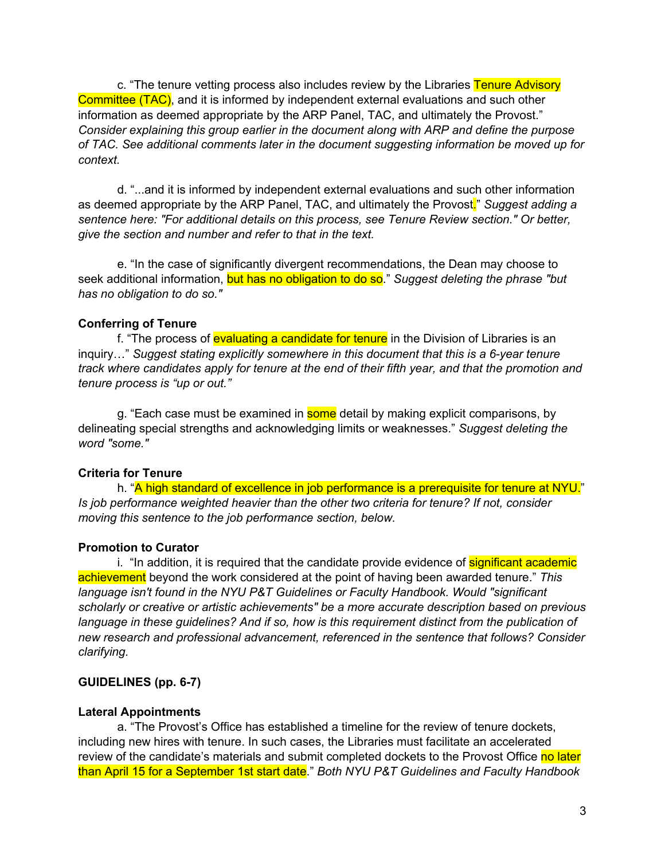c. "The tenure vetting process also includes review by the Libraries Tenure Advisory Committee (TAC), and it is informed by independent external evaluations and such other information as deemed appropriate by the ARP Panel, TAC, and ultimately the Provost." *Consider explaining this group earlier in the document along with ARP and define the purpose of TAC. See additional comments later in the document suggesting information be moved up for context.*

d. "...and it is informed by independent external evaluations and such other information as deemed appropriate by the ARP Panel, TAC, and ultimately the Provost." *Suggest adding a sentence here: "For additional details on this process, see Tenure Review section." Or better, give the section and number and refer to that in the text.*

e. "In the case of significantly divergent recommendations, the Dean may choose to seek additional information, but has no obligation to do so." *Suggest deleting the phrase "but has no obligation to do so."*

#### **Conferring of Tenure**

f. "The process of evaluating a candidate for tenure in the Division of Libraries is an inquiry…" *Suggest stating explicitly somewhere in this document that this is a 6-year tenure track where candidates apply for tenure at the end of their fifth year, and that the promotion and tenure process is "up or out."*

g. "Each case must be examined in **some** detail by making explicit comparisons, by delineating special strengths and acknowledging limits or weaknesses." *Suggest deleting the word "some."*

#### **Criteria for Tenure**

h. "A high standard of excellence in job performance is a prerequisite for tenure at NYU." *Is job performance weighted heavier than the other two criteria for tenure? If not, consider moving this sentence to the job performance section, below.*

#### **Promotion to Curator**

i. "In addition, it is required that the candidate provide evidence of **significant academic** achievement beyond the work considered at the point of having been awarded tenure." *This*  language isn't found in the NYU P&T Guidelines or Faculty Handbook. Would "significant *scholarly or creative or artistic achievements" be a more accurate description based on previous*  language in these guidelines? And if so, how is this requirement distinct from the publication of *new research and professional advancement, referenced in the sentence that follows? Consider clarifying.*

# **GUIDELINES (pp. 6-7)**

#### **Lateral Appointments**

a. "The Provost's Office has established a timeline for the review of tenure dockets, including new hires with tenure. In such cases, the Libraries must facilitate an accelerated review of the candidate's materials and submit completed dockets to the Provost Office no later than April 15 for a September 1st start date." *Both NYU P&T Guidelines and Faculty Handbook*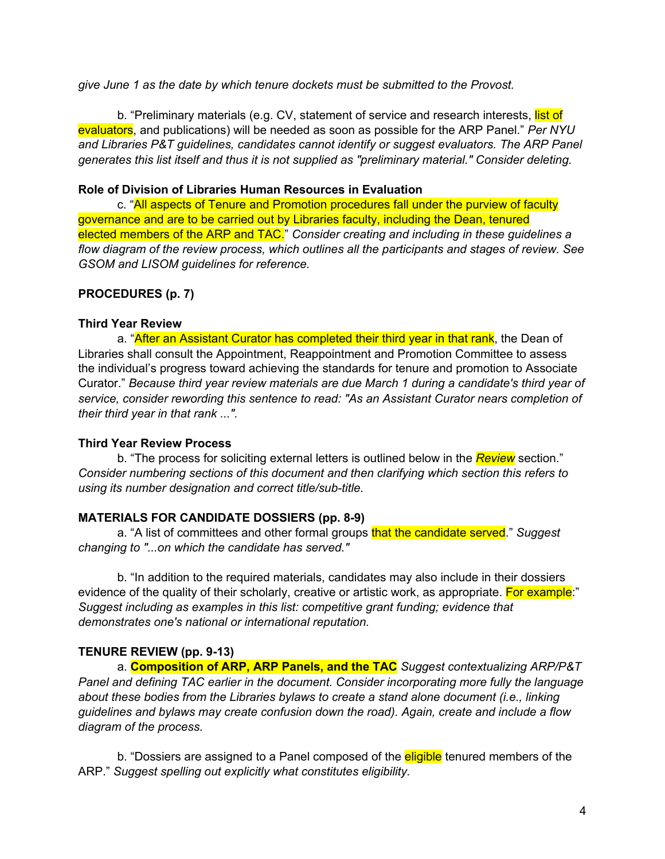*give June 1 as the date by which tenure dockets must be submitted to the Provost.*

b. "Preliminary materials (e.g. CV, statement of service and research interests, list of evaluators, and publications) will be needed as soon as possible for the ARP Panel." *Per NYU and Libraries P&T guidelines, candidates cannot identify or suggest evaluators. The ARP Panel generates this list itself and thus it is not supplied as "preliminary material." Consider deleting.*

### **Role of Division of Libraries Human Resources in Evaluation**

c. "All aspects of Tenure and Promotion procedures fall under the purview of faculty governance and are to be carried out by Libraries faculty, including the Dean, tenured elected members of the ARP and TAC." *Consider creating and including in these guidelines a flow diagram of the review process, which outlines all the participants and stages of review. See GSOM and LISOM guidelines for reference.*

# **PROCEDURES (p. 7)**

#### **Third Year Review**

a. "After an Assistant Curator has completed their third year in that rank, the Dean of Libraries shall consult the Appointment, Reappointment and Promotion Committee to assess the individual's progress toward achieving the standards for tenure and promotion to Associate Curator." *Because third year review materials are due March 1 during a candidate's third year of service, consider rewording this sentence to read: "As an Assistant Curator nears completion of their third year in that rank ...".*

#### **Third Year Review Process**

b. "The process for soliciting external letters is outlined below in the *Review* section." *Consider numbering sections of this document and then clarifying which section this refers to using its number designation and correct title/sub-title.*

#### **MATERIALS FOR CANDIDATE DOSSIERS (pp. 8-9)**

a. "A list of committees and other formal groups that the candidate served." *Suggest changing to "...on which the candidate has served."*

b. "In addition to the required materials, candidates may also include in their dossiers evidence of the quality of their scholarly, creative or artistic work, as appropriate. For example:" *Suggest including as examples in this list: competitive grant funding; evidence that demonstrates one's national or international reputation.*

# **TENURE REVIEW (pp. 9-13)**

a. **Composition of ARP, ARP Panels, and the TAC** *Suggest contextualizing ARP/P&T Panel and defining TAC earlier in the document. Consider incorporating more fully the language about these bodies from the Libraries bylaws to create a stand alone document (i.e., linking guidelines and bylaws may create confusion down the road). Again, create and include a flow diagram of the process.*

b. "Dossiers are assigned to a Panel composed of the **eligible** tenured members of the ARP." *Suggest spelling out explicitly what constitutes eligibility.*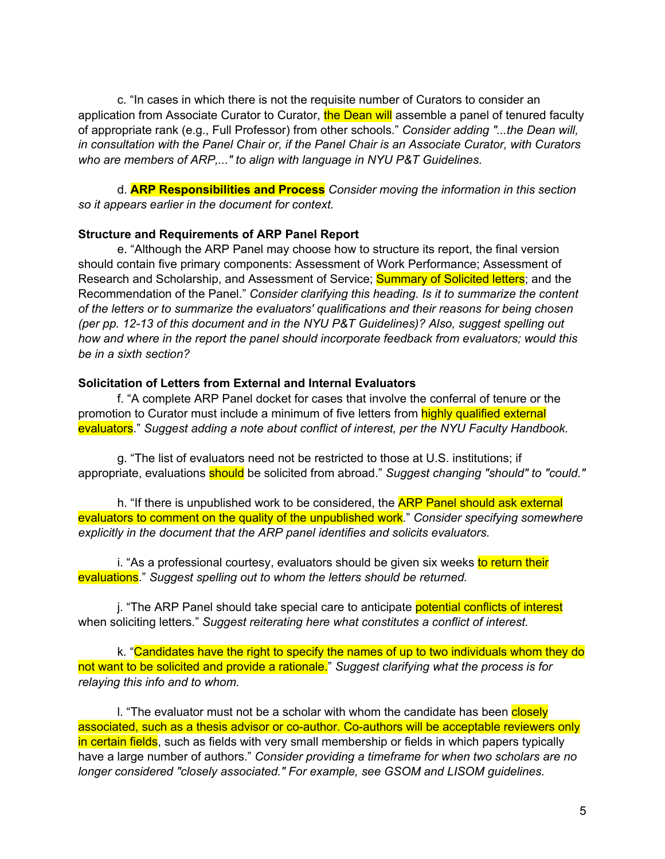c. "In cases in which there is not the requisite number of Curators to consider an application from Associate Curator to Curator, the Dean will assemble a panel of tenured faculty of appropriate rank (e.g., Full Professor) from other schools." *Consider adding "...the Dean will, in consultation with the Panel Chair or, if the Panel Chair is an Associate Curator, with Curators who are members of ARP,..." to align with language in NYU P&T Guidelines.*

d. **ARP Responsibilities and Process** *Consider moving the information in this section so it appears earlier in the document for context.*

#### **Structure and Requirements of ARP Panel Report**

e. "Although the ARP Panel may choose how to structure its report, the final version should contain five primary components: Assessment of Work Performance; Assessment of Research and Scholarship, and Assessment of Service; **Summary of Solicited letters**; and the Recommendation of the Panel." *Consider clarifying this heading. Is it to summarize the content of the letters or to summarize the evaluators' qualifications and their reasons for being chosen (per pp. 12-13 of this document and in the NYU P&T Guidelines)? Also, suggest spelling out how and where in the report the panel should incorporate feedback from evaluators; would this be in a sixth section?*

#### **Solicitation of Letters from External and Internal Evaluators**

f. "A complete ARP Panel docket for cases that involve the conferral of tenure or the promotion to Curator must include a minimum of five letters from **highly qualified external** evaluators." *Suggest adding a note about conflict of interest, per the NYU Faculty Handbook.*

g. "The list of evaluators need not be restricted to those at U.S. institutions; if appropriate, evaluations should be solicited from abroad." *Suggest changing "should" to "could."*

h. "If there is unpublished work to be considered, the **ARP Panel should ask external** evaluators to comment on the quality of the unpublished work." *Consider specifying somewhere explicitly in the document that the ARP panel identifies and solicits evaluators.* 

i. "As a professional courtesy, evaluators should be given six weeks to return their evaluations." *Suggest spelling out to whom the letters should be returned.*

j. "The ARP Panel should take special care to anticipate potential conflicts of interest when soliciting letters." *Suggest reiterating here what constitutes a conflict of interest.*

k. "Candidates have the right to specify the names of up to two individuals whom they do not want to be solicited and provide a rationale." *Suggest clarifying what the process is for relaying this info and to whom.*

I. "The evaluator must not be a scholar with whom the candidate has been closely associated, such as a thesis advisor or co-author. Co-authors will be acceptable reviewers only in certain fields, such as fields with very small membership or fields in which papers typically have a large number of authors." *Consider providing a timeframe for when two scholars are no longer considered "closely associated." For example, see GSOM and LISOM guidelines.*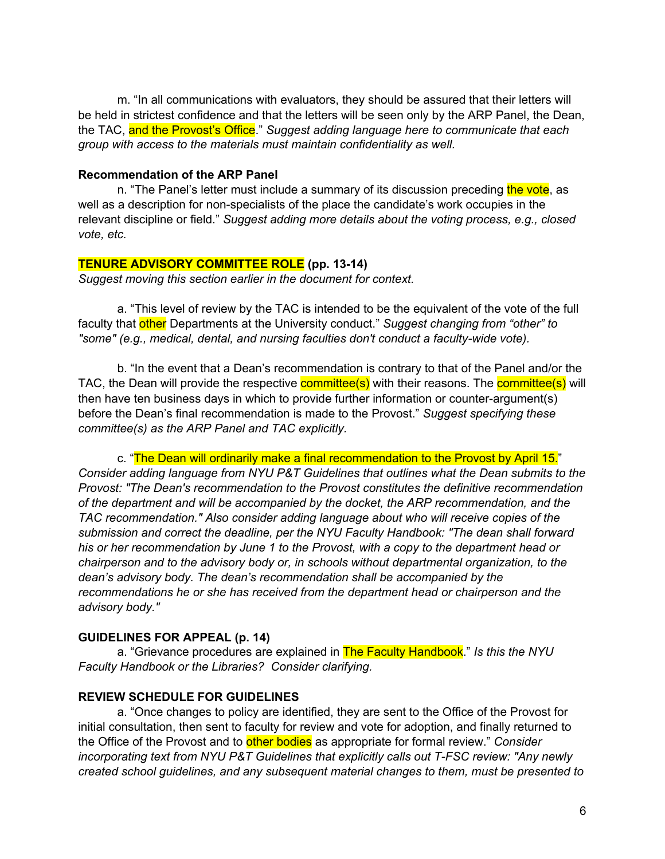m. "In all communications with evaluators, they should be assured that their letters will be held in strictest confidence and that the letters will be seen only by the ARP Panel, the Dean, the TAC, and the Provost's Office." *Suggest adding language here to communicate that each group with access to the materials must maintain confidentiality as well.*

#### **Recommendation of the ARP Panel**

n. "The Panel's letter must include a summary of its discussion preceding the vote, as well as a description for non-specialists of the place the candidate's work occupies in the relevant discipline or field." *Suggest adding more details about the voting process, e.g., closed vote, etc.*

#### **TENURE ADVISORY COMMITTEE ROLE (pp. 13-14)**

*Suggest moving this section earlier in the document for context.*

a. "This level of review by the TAC is intended to be the equivalent of the vote of the full faculty that other Departments at the University conduct." *Suggest changing from "other" to "some" (e.g., medical, dental, and nursing faculties don't conduct a faculty-wide vote).*

b. "In the event that a Dean's recommendation is contrary to that of the Panel and/or the TAC, the Dean will provide the respective **committee(s)** with their reasons. The **committee(s)** will then have ten business days in which to provide further information or counter-argument(s) before the Dean's final recommendation is made to the Provost." *Suggest specifying these committee(s) as the ARP Panel and TAC explicitly.*

c. "The Dean will ordinarily make a final recommendation to the Provost by April 15." *Consider adding language from NYU P&T Guidelines that outlines what the Dean submits to the Provost: "The Dean's recommendation to the Provost constitutes the definitive recommendation of the department and will be accompanied by the docket, the ARP recommendation, and the TAC recommendation." Also consider adding language about who will receive copies of the submission and correct the deadline, per the NYU Faculty Handbook: "The dean shall forward his or her recommendation by June 1 to the Provost, with a copy to the department head or chairperson and to the advisory body or, in schools without departmental organization, to the dean's advisory body. The dean's recommendation shall be accompanied by the recommendations he or she has received from the department head or chairperson and the advisory body."*

#### **GUIDELINES FOR APPEAL (p. 14)**

a. "Grievance procedures are explained in The Faculty Handbook." *Is this the NYU Faculty Handbook or the Libraries? Consider clarifying.*

#### **REVIEW SCHEDULE FOR GUIDELINES**

a. "Once changes to policy are identified, they are sent to the Office of the Provost for initial consultation, then sent to faculty for review and vote for adoption, and finally returned to the Office of the Provost and to other bodies as appropriate for formal review." *Consider incorporating text from NYU P&T Guidelines that explicitly calls out T-FSC review: "Any newly created school guidelines, and any subsequent material changes to them, must be presented to*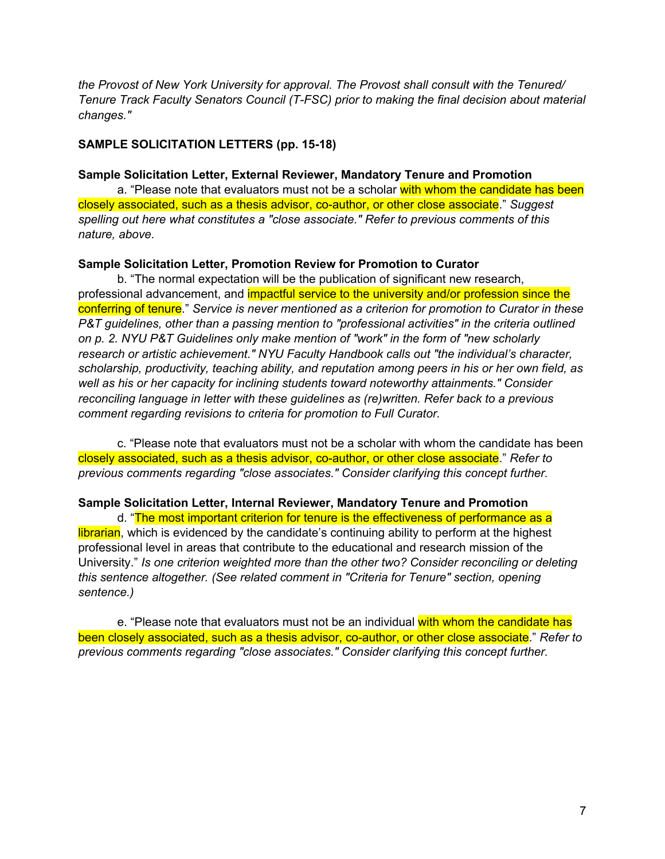*the Provost of New York University for approval. The Provost shall consult with the Tenured/ Tenure Track Faculty Senators Council (T-FSC) prior to making the final decision about material changes."*

### **SAMPLE SOLICITATION LETTERS (pp. 15-18)**

#### **Sample Solicitation Letter, External Reviewer, Mandatory Tenure and Promotion**

a. "Please note that evaluators must not be a scholar with whom the candidate has been closely associated, such as a thesis advisor, co-author, or other close associate." *Suggest spelling out here what constitutes a "close associate." Refer to previous comments of this nature, above.*

#### **Sample Solicitation Letter, Promotion Review for Promotion to Curator**

b. "The normal expectation will be the publication of significant new research, professional advancement, and *impactful service to the university and/or profession since the* conferring of tenure." *Service is never mentioned as a criterion for promotion to Curator in these P&T guidelines, other than a passing mention to "professional activities" in the criteria outlined on p. 2. NYU P&T Guidelines only make mention of "work" in the form of "new scholarly research or artistic achievement." NYU Faculty Handbook calls out "the individual's character, scholarship, productivity, teaching ability, and reputation among peers in his or her own field, as well as his or her capacity for inclining students toward noteworthy attainments." Consider reconciling language in letter with these guidelines as (re)written. Refer back to a previous comment regarding revisions to criteria for promotion to Full Curator.*

c. "Please note that evaluators must not be a scholar with whom the candidate has been closely associated, such as a thesis advisor, co-author, or other close associate." *Refer to previous comments regarding "close associates." Consider clarifying this concept further.*

#### **Sample Solicitation Letter, Internal Reviewer, Mandatory Tenure and Promotion**

d. "The most important criterion for tenure is the effectiveness of performance as a librarian, which is evidenced by the candidate's continuing ability to perform at the highest professional level in areas that contribute to the educational and research mission of the University." *Is one criterion weighted more than the other two? Consider reconciling or deleting this sentence altogether. (See related comment in "Criteria for Tenure" section, opening sentence.)*

e. "Please note that evaluators must not be an individual with whom the candidate has been closely associated, such as a thesis advisor, co-author, or other close associate." *Refer to previous comments regarding "close associates." Consider clarifying this concept further.*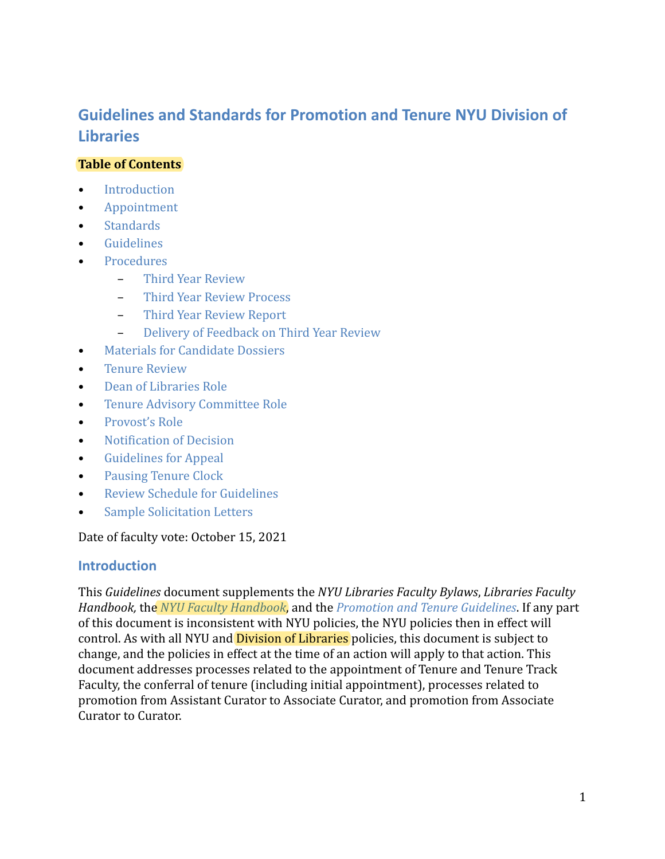# **Guidelines and Standards for Promotion and Tenure NYU Division of Libraries**

# **Table of Contents**

- [Introduction](#page-8-0)
- [Appointment](#page-9-0)
- [Standards](#page-9-1)
- [Guidelines](#page-13-0)
- **[Procedures](#page-14-0)** 
	- [Third Year Review](#page-14-1)
	- [Third Year Review Process](#page-14-1)
	- [Third Year Review Report](#page-14-2)
	- [Delivery of Feedback on Third Year Review](#page-14-3)
- [Materials for Candidate Dossiers](#page-15-0)
- [Tenure Review](#page-16-0)
- [Dean of Libraries Role](#page-20-0)
- [Tenure Advisory Committee Role](#page-20-1)
- Provost's Role
- [Notification of Decision](#page-21-0)
- [Guidelines for Appeal](#page-21-1)
- [Pausing Tenure Clock](#page-21-2)
- [Review Schedule for Guidelines](#page-21-3)
- [Sample Solicitation Letters](#page-22-0)

# Date of faculty vote: October 15, 2021

# <span id="page-8-0"></span>**Introduction**

This *Guidelines* document supplements the *NYU Libraries Faculty Bylaws*, *Libraries Faculty Handbook,* the *[NYU Faculty Handbook](https://www.nyu.edu/content/dam/nyu/provost/documents/facultyHandbook/11.1.19_Faculty_HandbookCLEAN1.pdf)*, and the *[Promotion and Tenure Guidelines](https://www.nyu.edu/about/policies-guidelines-compliance/policies-and-guidelines/promotion-and-tenure-guidelines.html)*. If any part of this document is inconsistent with NYU policies, the NYU policies then in effect will control. As with all NYU and *Division of Libraries* policies, this document is subject to change, and the policies in effect at the time of an action will apply to that action. This document addresses processes related to the appointment of Tenure and Tenure Track Faculty, the conferral of tenure (including initial appointment), processes related to promotion from Assistant Curator to Associate Curator, and promotion from Associate Curator to Curator.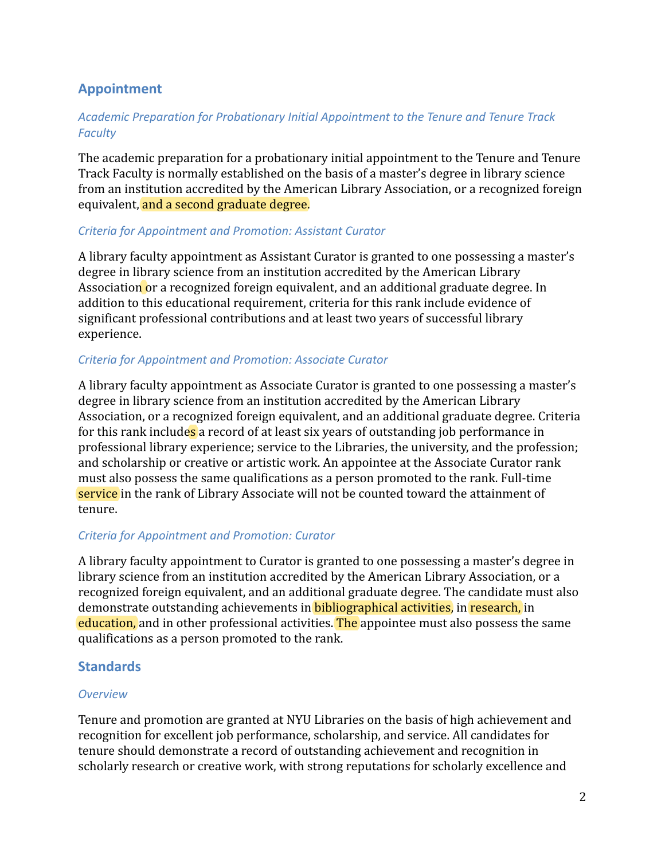# <span id="page-9-0"></span>**Appointment**

# *Academic Preparation for Probationary Initial Appointment to the Tenure and Tenure Track Faculty*

The academic preparation for a probationary initial appointment to the Tenure and Tenure Track Faculty is normally established on the basis of a master's degree in library science from an institution accredited by the American Library Association, or a recognized foreign equivalent, and a second graduate degree.

#### *Criteria for Appointment and Promotion: Assistant Curator*

A library faculty appointment as Assistant Curator is granted to one possessing a master's degree in library science from an institution accredited by the American Library Association or a recognized foreign equivalent, and an additional graduate degree. In addition to this educational requirement, criteria for this rank include evidence of significant professional contributions and at least two years of successful library experience.

# *Criteria for Appointment and Promotion: Associate Curator*

A library faculty appointment as Associate Curator is granted to one possessing a master's degree in library science from an institution accredited by the American Library Association, or a recognized foreign equivalent, and an additional graduate degree. Criteria for this rank includes a record of at least six years of outstanding job performance in professional library experience; service to the Libraries, the university, and the profession; and scholarship or creative or artistic work. An appointee at the Associate Curator rank must also possess the same qualifications as a person promoted to the rank. Full-time service in the rank of Library Associate will not be counted toward the attainment of tenure.

# *Criteria for Appointment and Promotion: Curator*

A library faculty appointment to Curator is granted to one possessing a master's degree in library science from an institution accredited by the American Library Association, or a recognized foreign equivalent, and an additional graduate degree. The candidate must also demonstrate outstanding achievements in **bibliographical activities**, in research, in education, and in other professional activities. The appointee must also possess the same qualifications as a person promoted to the rank.

# <span id="page-9-1"></span>**Standards**

# *Overview*

Tenure and promotion are granted at NYU Libraries on the basis of high achievement and recognition for excellent job performance, scholarship, and service. All candidates for tenure should demonstrate a record of outstanding achievement and recognition in scholarly research or creative work, with strong reputations for scholarly excellence and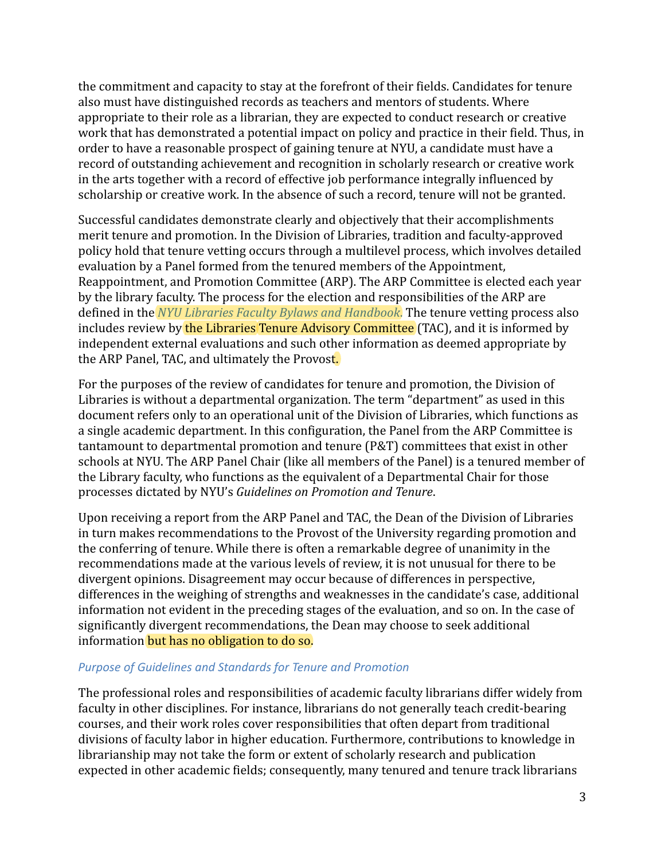the commitment and capacity to stay at the forefront of their fields. Candidates for tenure also must have distinguished records as teachers and mentors of students. Where appropriate to their role as a librarian, they are expected to conduct research or creative work that has demonstrated a potential impact on policy and practice in their field. Thus, in order to have a reasonable prospect of gaining tenure at NYU, a candidate must have a record of outstanding achievement and recognition in scholarly research or creative work in the arts together with a record of effective job performance integrally influenced by scholarship or creative work. In the absence of such a record, tenure will not be granted.

Successful candidates demonstrate clearly and objectively that their accomplishments merit tenure and promotion. In the Division of Libraries, tradition and faculty-approved policy hold that tenure vetting occurs through a multilevel process, which involves detailed evaluation by a Panel formed from the tenured members of the Appointment, Reappointment, and Promotion Committee (ARP). The ARP Committee is elected each year by the library faculty. The process for the election and responsibilities of the ARP are defined in the *[NYU Libraries Faculty Bylaws and Handbook](https://wiki.library.nyu.edu/display/DEAN/Faculty)*. The tenure vetting process also includes review by the Libraries Tenure Advisory Committee (TAC), and it is informed by independent external evaluations and such other information as deemed appropriate by the ARP Panel, TAC, and ultimately the Provost.

For the purposes of the review of candidates for tenure and promotion, the Division of Libraries is without a departmental organization. The term "department" as used in this document refers only to an operational unit of the Division of Libraries, which functions as a single academic department. In this configuration, the Panel from the ARP Committee is tantamount to departmental promotion and tenure (P&T) committees that exist in other schools at NYU. The ARP Panel Chair (like all members of the Panel) is a tenured member of the Library faculty, who functions as the equivalent of a Departmental Chair for those processes dictated by NYU's *Guidelines on Promotion and Tenure*.

Upon receiving a report from the ARP Panel and TAC, the Dean of the Division of Libraries in turn makes recommendations to the Provost of the University regarding promotion and the conferring of tenure. While there is often a remarkable degree of unanimity in the recommendations made at the various levels of review, it is not unusual for there to be divergent opinions. Disagreement may occur because of differences in perspective, differences in the weighing of strengths and weaknesses in the candidate's case, additional information not evident in the preceding stages of the evaluation, and so on. In the case of significantly divergent recommendations, the Dean may choose to seek additional information but has no obligation to do so.

#### *Purpose of Guidelines and Standards for Tenure and Promotion*

The professional roles and responsibilities of academic faculty librarians differ widely from faculty in other disciplines. For instance, librarians do not generally teach credit-bearing courses, and their work roles cover responsibilities that often depart from traditional divisions of faculty labor in higher education. Furthermore, contributions to knowledge in librarianship may not take the form or extent of scholarly research and publication expected in other academic fields; consequently, many tenured and tenure track librarians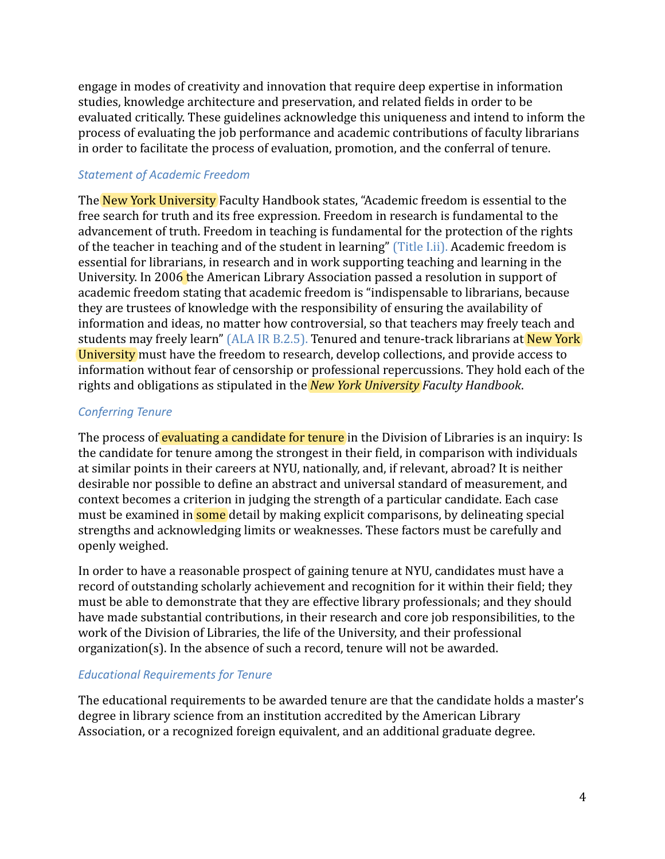engage in modes of creativity and innovation that require deep expertise in information studies, knowledge architecture and preservation, and related fields in order to be evaluated critically. These guidelines acknowledge this uniqueness and intend to inform the process of evaluating the job performance and academic contributions of faculty librarians in order to facilitate the process of evaluation, promotion, and the conferral of tenure.

# *Statement of Academic Freedom*

The New York University Faculty Handbook states, "Academic freedom is essential to the free search for truth and its free expression. Freedom in research is fundamental to the advancement of truth. Freedom in teaching is fundamental for the protection of the rights of the teacher in teaching and of the student in learning" [\(Title I.ii\).](https://www.nyu.edu/faculty/governance-policies-and-procedures/faculty-handbook/the-faculty/policies-applicable-to-tenured-and-tenure-track-faculty/academic-freedom-and-tenure/title-i.html) Academic freedom is essential for librarians, in research and in work supporting teaching and learning in the University. In 2006 the American Library Association passed a resolution in support of academic freedom stating that academic freedom is "indispensable to librarians, because they are trustees of knowledge with the responsibility of ensuring the availability of information and ideas, no matter how controversial, so that teachers may freely teach and students may freely learn" [\(ALA IR B.2.5\).](https://alair.ala.org/handle/11213/1647) Tenured and tenure-track librarians at New York University must have the freedom to research, develop collections, and provide access to information without fear of censorship or professional repercussions. They hold each of the rights and obligations as stipulated in the *New York University Faculty Handbook*.

# *Conferring Tenure*

The process of evaluating a candidate for tenure in the Division of Libraries is an inquiry: Is the candidate for tenure among the strongest in their field, in comparison with individuals at similar points in their careers at NYU, nationally, and, if relevant, abroad? It is neither desirable nor possible to define an abstract and universal standard of measurement, and context becomes a criterion in judging the strength of a particular candidate. Each case must be examined in **some** detail by making explicit comparisons, by delineating special strengths and acknowledging limits or weaknesses. These factors must be carefully and openly weighed.

In order to have a reasonable prospect of gaining tenure at NYU, candidates must have a record of outstanding scholarly achievement and recognition for it within their field; they must be able to demonstrate that they are effective library professionals; and they should have made substantial contributions, in their research and core job responsibilities, to the work of the Division of Libraries, the life of the University, and their professional organization(s). In the absence of such a record, tenure will not be awarded.

# *Educational Requirements for Tenure*

The educational requirements to be awarded tenure are that the candidate holds a master's degree in library science from an institution accredited by the American Library Association, or a recognized foreign equivalent, and an additional graduate degree.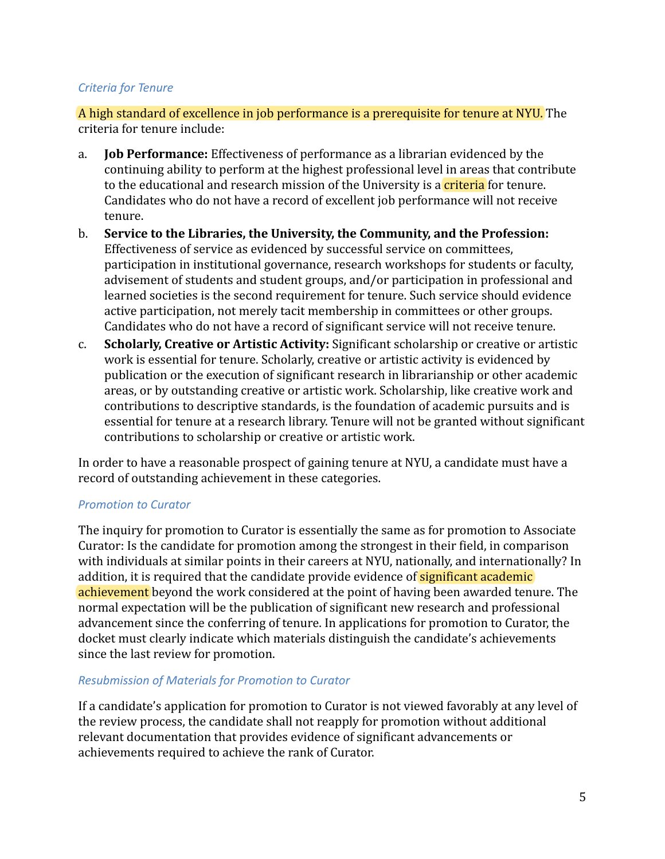# *Criteria for Tenure*

A high standard of excellence in job performance is a prerequisite for tenure at NYU. The criteria for tenure include:

- a. **Job Performance:** Effectiveness of performance as a librarian evidenced by the continuing ability to perform at the highest professional level in areas that contribute to the educational and research mission of the University is a **criteria** for tenure. Candidates who do not have a record of excellent job performance will not receive tenure.
- b. **Service to the Libraries, the University, the Community, and the Profession:** Effectiveness of service as evidenced by successful service on committees, participation in institutional governance, research workshops for students or faculty, advisement of students and student groups, and/or participation in professional and learned societies is the second requirement for tenure. Such service should evidence active participation, not merely tacit membership in committees or other groups. Candidates who do not have a record of significant service will not receive tenure.
- c. **Scholarly, Creative or Artistic Activity:** Significant scholarship or creative or artistic work is essential for tenure. Scholarly, creative or artistic activity is evidenced by publication or the execution of significant research in librarianship or other academic areas, or by outstanding creative or artistic work. Scholarship, like creative work and contributions to descriptive standards, is the foundation of academic pursuits and is essential for tenure at a research library. Tenure will not be granted without significant contributions to scholarship or creative or artistic work.

In order to have a reasonable prospect of gaining tenure at NYU, a candidate must have a record of outstanding achievement in these categories.

#### *Promotion to Curator*

The inquiry for promotion to Curator is essentially the same as for promotion to Associate Curator: Is the candidate for promotion among the strongest in their field, in comparison with individuals at similar points in their careers at NYU, nationally, and internationally? In addition, it is required that the candidate provide evidence of **significant academic** achievement beyond the work considered at the point of having been awarded tenure. The normal expectation will be the publication of significant new research and professional advancement since the conferring of tenure. In applications for promotion to Curator, the docket must clearly indicate which materials distinguish the candidate's achievements since the last review for promotion.

#### *Resubmission of Materials for Promotion to Curator*

If a candidate's application for promotion to Curator is not viewed favorably at any level of the review process, the candidate shall not reapply for promotion without additional relevant documentation that provides evidence of significant advancements or achievements required to achieve the rank of Curator.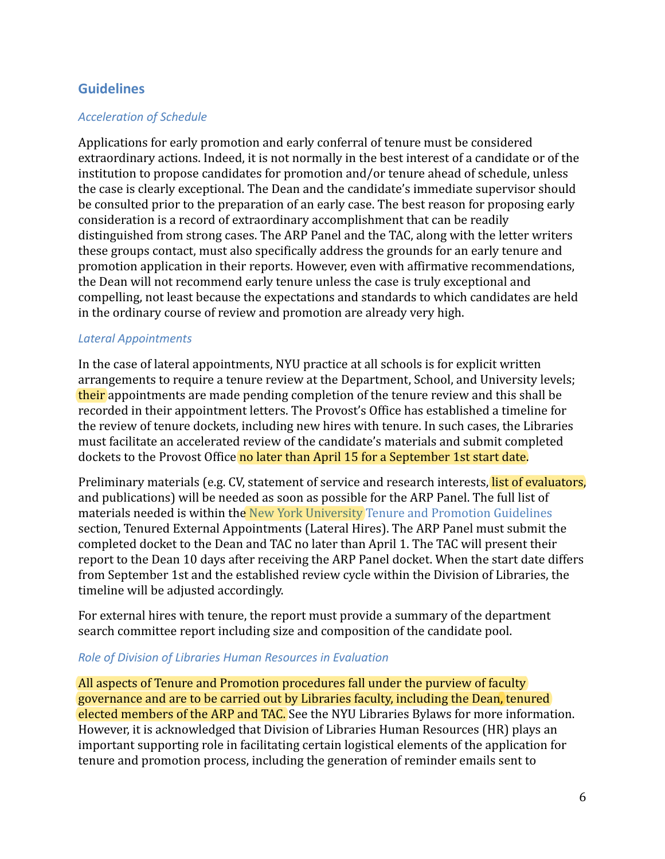# <span id="page-13-0"></span>**Guidelines**

# *Acceleration of Schedule*

Applications for early promotion and early conferral of tenure must be considered extraordinary actions. Indeed, it is not normally in the best interest of a candidate or of the institution to propose candidates for promotion and/or tenure ahead of schedule, unless the case is clearly exceptional. The Dean and the candidate's immediate supervisor should be consulted prior to the preparation of an early case. The best reason for proposing early consideration is a record of extraordinary accomplishment that can be readily distinguished from strong cases. The ARP Panel and the TAC, along with the letter writers these groups contact, must also specifically address the grounds for an early tenure and promotion application in their reports. However, even with affirmative recommendations, the Dean will not recommend early tenure unless the case is truly exceptional and compelling, not least because the expectations and standards to which candidates are held in the ordinary course of review and promotion are already very high.

### *Lateral Appointments*

In the case of lateral appointments, NYU practice at all schools is for explicit written arrangements to require a tenure review at the Department, School, and University levels; their appointments are made pending completion of the tenure review and this shall be recorded in their appointment letters. The Provost's Office has established a timeline for the review of tenure dockets, including new hires with tenure. In such cases, the Libraries must facilitate an accelerated review of the candidate's materials and submit completed dockets to the Provost Office no later than April 15 for a September 1st start date.

Preliminary materials (e.g. CV, statement of service and research interests, list of evaluators, and publications) will be needed as soon as possible for the ARP Panel. The full list of materials needed is within the [New York University Tenure and Promotion Guidelines](https://www.nyu.edu/about/policies-guidelines-compliance/policies-and-guidelines/promotion-and-tenure-guidelines.html) section, Tenured External Appointments (Lateral Hires). The ARP Panel must submit the completed docket to the Dean and TAC no later than April 1. The TAC will present their report to the Dean 10 days after receiving the ARP Panel docket. When the start date differs from September 1st and the established review cycle within the Division of Libraries, the timeline will be adjusted accordingly.

For external hires with tenure, the report must provide a summary of the department search committee report including size and composition of the candidate pool.

#### *Role of Division of Libraries Human Resources in Evaluation*

All aspects of Tenure and Promotion procedures fall under the purview of faculty governance and are to be carried out by Libraries faculty, including the Dean, tenured elected members of the ARP and TAC. See the NYU Libraries Bylaws for more information. However, it is acknowledged that Division of Libraries Human Resources (HR) plays an important supporting role in facilitating certain logistical elements of the application for tenure and promotion process, including the generation of reminder emails sent to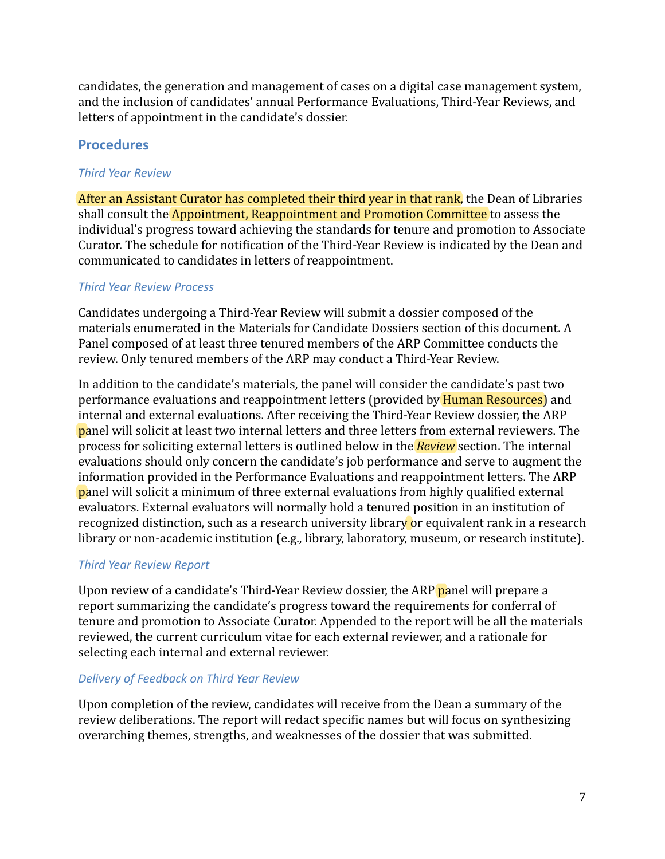candidates, the generation and management of cases on a digital case management system, and the inclusion of candidates' annual Performance Evaluations, Third-Year Reviews, and letters of appointment in the candidate's dossier.

# <span id="page-14-0"></span>**Procedures**

# <span id="page-14-1"></span>*Third Year Review*

After an Assistant Curator has completed their third year in that rank, the Dean of Libraries shall consult the Appointment, Reappointment and Promotion Committee to assess the individual's progress toward achieving the standards for tenure and promotion to Associate Curator. The schedule for notification of the Third-Year Review is indicated by the Dean and communicated to candidates in letters of reappointment.

# *Third Year Review Process*

Candidates undergoing a Third-Year Review will submit a dossier composed of the materials enumerated in the Materials for Candidate Dossiers section of this document. A Panel composed of at least three tenured members of the ARP Committee conducts the review. Only tenured members of the ARP may conduct a Third-Year Review.

In addition to the candidate's materials, the panel will consider the candidate's past two performance evaluations and reappointment letters (provided by **Human Resources**) and internal and external evaluations. After receiving the Third-Year Review dossier, the ARP panel will solicit at least two internal letters and three letters from external reviewers. The process for soliciting external letters is outlined below in the *Review* section. The internal evaluations should only concern the candidate's job performance and serve to augment the information provided in the Performance Evaluations and reappointment letters. The ARP panel will solicit a minimum of three external evaluations from highly qualified external evaluators. External evaluators will normally hold a tenured position in an institution of recognized distinction, such as a research university library or equivalent rank in a research library or non-academic institution (e.g., library, laboratory, museum, or research institute).

# <span id="page-14-2"></span>*Third Year Review Report*

Upon review of a candidate's Third-Year Review dossier, the ARP panel will prepare a report summarizing the candidate's progress toward the requirements for conferral of tenure and promotion to Associate Curator. Appended to the report will be all the materials reviewed, the current curriculum vitae for each external reviewer, and a rationale for selecting each internal and external reviewer.

# <span id="page-14-3"></span>*Delivery of Feedback on Third Year Review*

Upon completion of the review, candidates will receive from the Dean a summary of the review deliberations. The report will redact specific names but will focus on synthesizing overarching themes, strengths, and weaknesses of the dossier that was submitted.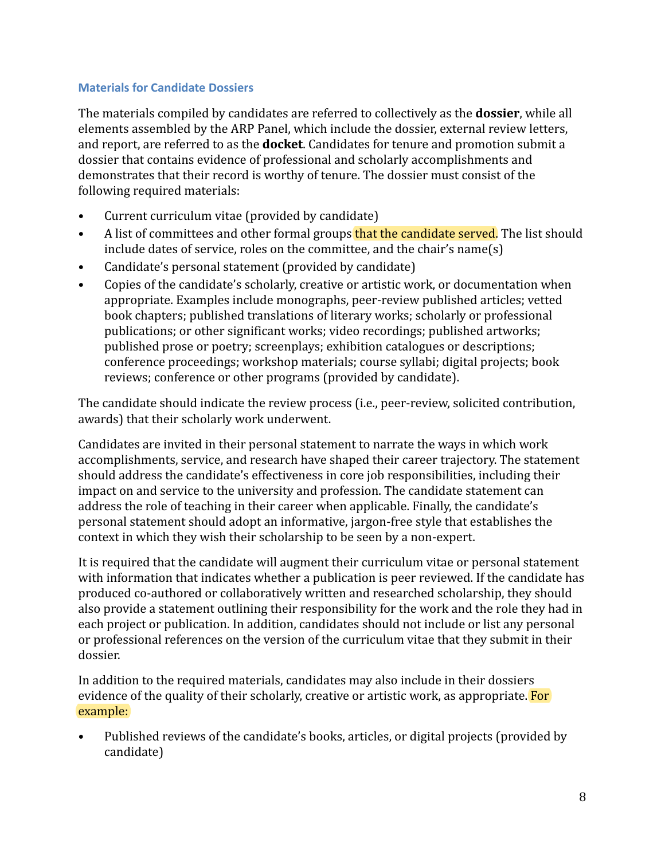### <span id="page-15-0"></span>**Materials for Candidate Dossiers**

The materials compiled by candidates are referred to collectively as the **dossier**, while all elements assembled by the ARP Panel, which include the dossier, external review letters, and report, are referred to as the **docket**. Candidates for tenure and promotion submit a dossier that contains evidence of professional and scholarly accomplishments and demonstrates that their record is worthy of tenure. The dossier must consist of the following required materials:

- Current curriculum vitae (provided by candidate)
- A list of committees and other formal groups that the candidate served. The list should include dates of service, roles on the committee, and the chair's name(s)
- Candidate's personal statement (provided by candidate)
- Copies of the candidate's scholarly, creative or artistic work, or documentation when appropriate. Examples include monographs, peer-review published articles; vetted book chapters; published translations of literary works; scholarly or professional publications; or other significant works; video recordings; published artworks; published prose or poetry; screenplays; exhibition catalogues or descriptions; conference proceedings; workshop materials; course syllabi; digital projects; book reviews; conference or other programs (provided by candidate).

The candidate should indicate the review process (i.e., peer-review, solicited contribution, awards) that their scholarly work underwent.

Candidates are invited in their personal statement to narrate the ways in which work accomplishments, service, and research have shaped their career trajectory. The statement should address the candidate's effectiveness in core job responsibilities, including their impact on and service to the university and profession. The candidate statement can address the role of teaching in their career when applicable. Finally, the candidate's personal statement should adopt an informative, jargon-free style that establishes the context in which they wish their scholarship to be seen by a non-expert.

It is required that the candidate will augment their curriculum vitae or personal statement with information that indicates whether a publication is peer reviewed. If the candidate has produced co-authored or collaboratively written and researched scholarship, they should also provide a statement outlining their responsibility for the work and the role they had in each project or publication. In addition, candidates should not include or list any personal or professional references on the version of the curriculum vitae that they submit in their dossier.

In addition to the required materials, candidates may also include in their dossiers evidence of the quality of their scholarly, creative or artistic work, as appropriate. For example:

• Published reviews of the candidate's books, articles, or digital projects (provided by candidate)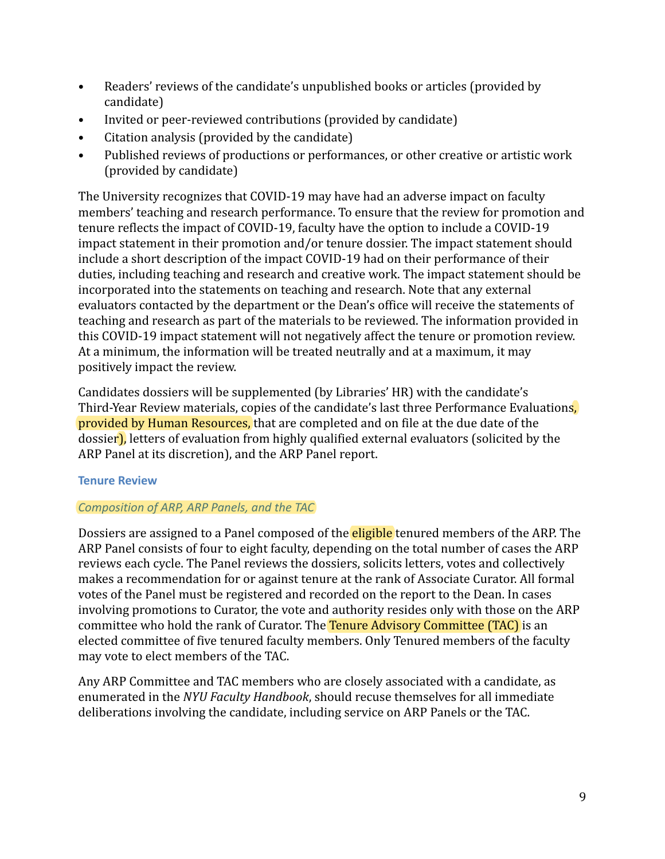- Readers' reviews of the candidate's unpublished books or articles (provided by candidate)
- Invited or peer-reviewed contributions (provided by candidate)
- Citation analysis (provided by the candidate)
- Published reviews of productions or performances, or other creative or artistic work (provided by candidate)

The University recognizes that COVID-19 may have had an adverse impact on faculty members' teaching and research performance. To ensure that the review for promotion and tenure reflects the impact of COVID-19, faculty have the option to include a COVID-19 impact statement in their promotion and/or tenure dossier. The impact statement should include a short description of the impact COVID-19 had on their performance of their duties, including teaching and research and creative work. The impact statement should be incorporated into the statements on teaching and research. Note that any external evaluators contacted by the department or the Dean's office will receive the statements of teaching and research as part of the materials to be reviewed. The information provided in this COVID-19 impact statement will not negatively affect the tenure or promotion review. At a minimum, the information will be treated neutrally and at a maximum, it may positively impact the review.

Candidates dossiers will be supplemented (by Libraries' HR) with the candidate's Third-Year Review materials, copies of the candidate's last three Performance Evaluations, provided by Human Resources, that are completed and on file at the due date of the dossier), letters of evaluation from highly qualified external evaluators (solicited by the ARP Panel at its discretion), and the ARP Panel report.

# <span id="page-16-0"></span>**Tenure Review**

# *Composition of ARP, ARP Panels, and the TAC*

Dossiers are assigned to a Panel composed of the **eligible** tenured members of the ARP. The ARP Panel consists of four to eight faculty, depending on the total number of cases the ARP reviews each cycle. The Panel reviews the dossiers, solicits letters, votes and collectively makes a recommendation for or against tenure at the rank of Associate Curator. All formal votes of the Panel must be registered and recorded on the report to the Dean. In cases involving promotions to Curator, the vote and authority resides only with those on the ARP committee who hold the rank of Curator. The Tenure Advisory Committee (TAC) is an elected committee of five tenured faculty members. Only Tenured members of the faculty may vote to elect members of the TAC.

Any ARP Committee and TAC members who are closely associated with a candidate, as enumerated in the *NYU Faculty Handbook*, should recuse themselves for all immediate deliberations involving the candidate, including service on ARP Panels or the TAC.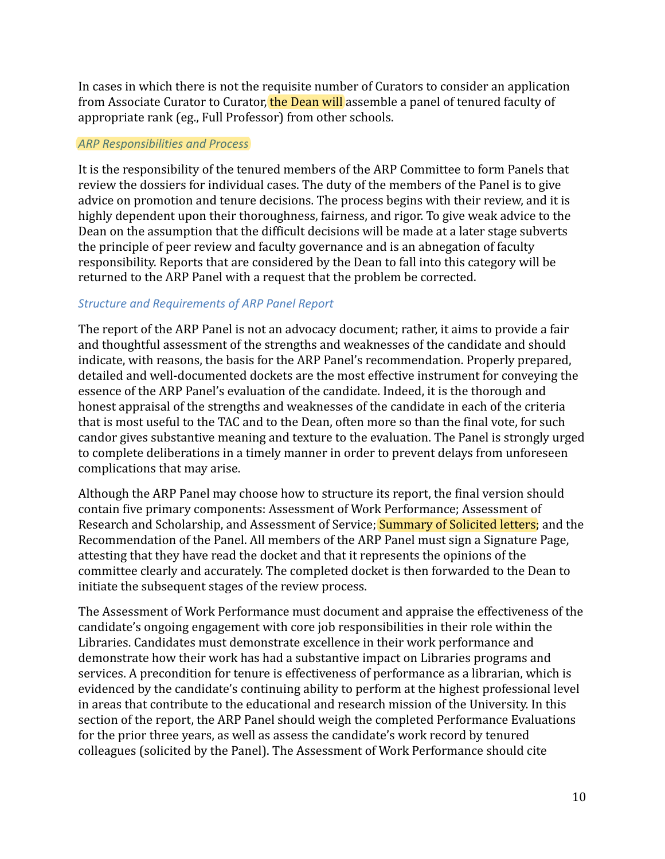In cases in which there is not the requisite number of Curators to consider an application from Associate Curator to Curator, the Dean will assemble a panel of tenured faculty of appropriate rank (eg., Full Professor) from other schools.

#### *ARP Responsibilities and Process*

It is the responsibility of the tenured members of the ARP Committee to form Panels that review the dossiers for individual cases. The duty of the members of the Panel is to give advice on promotion and tenure decisions. The process begins with their review, and it is highly dependent upon their thoroughness, fairness, and rigor. To give weak advice to the Dean on the assumption that the difficult decisions will be made at a later stage subverts the principle of peer review and faculty governance and is an abnegation of faculty responsibility. Reports that are considered by the Dean to fall into this category will be returned to the ARP Panel with a request that the problem be corrected.

### *Structure and Requirements of ARP Panel Report*

The report of the ARP Panel is not an advocacy document; rather, it aims to provide a fair and thoughtful assessment of the strengths and weaknesses of the candidate and should indicate, with reasons, the basis for the ARP Panel's recommendation. Properly prepared, detailed and well-documented dockets are the most effective instrument for conveying the essence of the ARP Panel's evaluation of the candidate. Indeed, it is the thorough and honest appraisal of the strengths and weaknesses of the candidate in each of the criteria that is most useful to the TAC and to the Dean, often more so than the final vote, for such candor gives substantive meaning and texture to the evaluation. The Panel is strongly urged to complete deliberations in a timely manner in order to prevent delays from unforeseen complications that may arise.

Although the ARP Panel may choose how to structure its report, the final version should contain five primary components: Assessment of Work Performance; Assessment of Research and Scholarship, and Assessment of Service; **Summary of Solicited letters**; and the Recommendation of the Panel. All members of the ARP Panel must sign a Signature Page, attesting that they have read the docket and that it represents the opinions of the committee clearly and accurately. The completed docket is then forwarded to the Dean to initiate the subsequent stages of the review process.

The Assessment of Work Performance must document and appraise the effectiveness of the candidate's ongoing engagement with core job responsibilities in their role within the Libraries. Candidates must demonstrate excellence in their work performance and demonstrate how their work has had a substantive impact on Libraries programs and services. A precondition for tenure is effectiveness of performance as a librarian, which is evidenced by the candidate's continuing ability to perform at the highest professional level in areas that contribute to the educational and research mission of the University. In this section of the report, the ARP Panel should weigh the completed Performance Evaluations for the prior three years, as well as assess the candidate's work record by tenured colleagues (solicited by the Panel). The Assessment of Work Performance should cite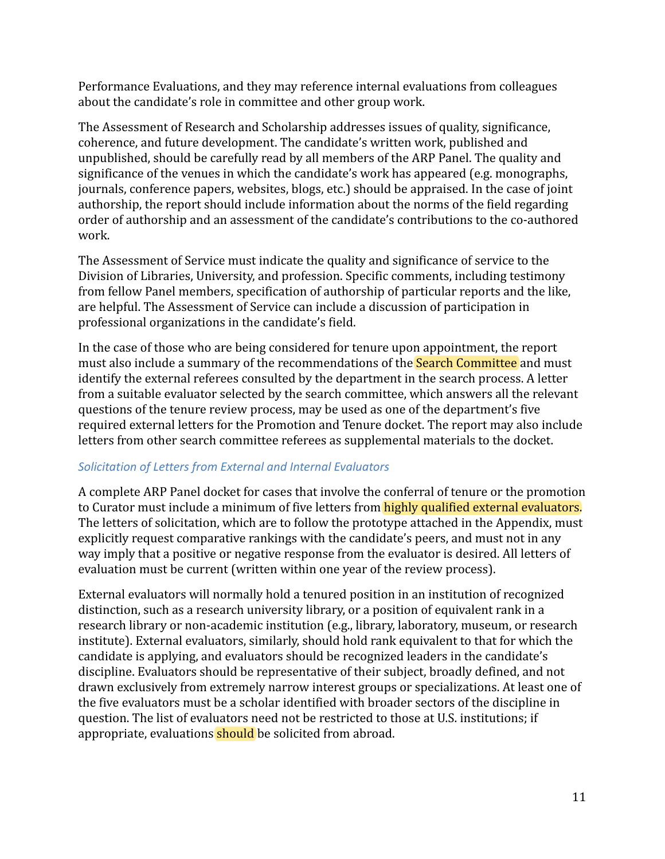Performance Evaluations, and they may reference internal evaluations from colleagues about the candidate's role in committee and other group work.

The Assessment of Research and Scholarship addresses issues of quality, significance, coherence, and future development. The candidate's written work, published and unpublished, should be carefully read by all members of the ARP Panel. The quality and significance of the venues in which the candidate's work has appeared (e.g. monographs, journals, conference papers, websites, blogs, etc.) should be appraised. In the case of joint authorship, the report should include information about the norms of the field regarding order of authorship and an assessment of the candidate's contributions to the co-authored work.

The Assessment of Service must indicate the quality and significance of service to the Division of Libraries, University, and profession. Specific comments, including testimony from fellow Panel members, specification of authorship of particular reports and the like, are helpful. The Assessment of Service can include a discussion of participation in professional organizations in the candidate's field.

In the case of those who are being considered for tenure upon appointment, the report must also include a summary of the recommendations of the **Search Committee** and must identify the external referees consulted by the department in the search process. A letter from a suitable evaluator selected by the search committee, which answers all the relevant questions of the tenure review process, may be used as one of the department's five required external letters for the Promotion and Tenure docket. The report may also include letters from other search committee referees as supplemental materials to the docket.

# *Solicitation of Letters from External and Internal Evaluators*

A complete ARP Panel docket for cases that involve the conferral of tenure or the promotion to Curator must include a minimum of five letters from **highly qualified external evaluators.** The letters of solicitation, which are to follow the prototype attached in the Appendix, must explicitly request comparative rankings with the candidate's peers, and must not in any way imply that a positive or negative response from the evaluator is desired. All letters of evaluation must be current (written within one year of the review process).

External evaluators will normally hold a tenured position in an institution of recognized distinction, such as a research university library, or a position of equivalent rank in a research library or non-academic institution (e.g., library, laboratory, museum, or research institute). External evaluators, similarly, should hold rank equivalent to that for which the candidate is applying, and evaluators should be recognized leaders in the candidate's discipline. Evaluators should be representative of their subject, broadly defined, and not drawn exclusively from extremely narrow interest groups or specializations. At least one of the five evaluators must be a scholar identified with broader sectors of the discipline in question. The list of evaluators need not be restricted to those at U.S. institutions; if appropriate, evaluations should be solicited from abroad.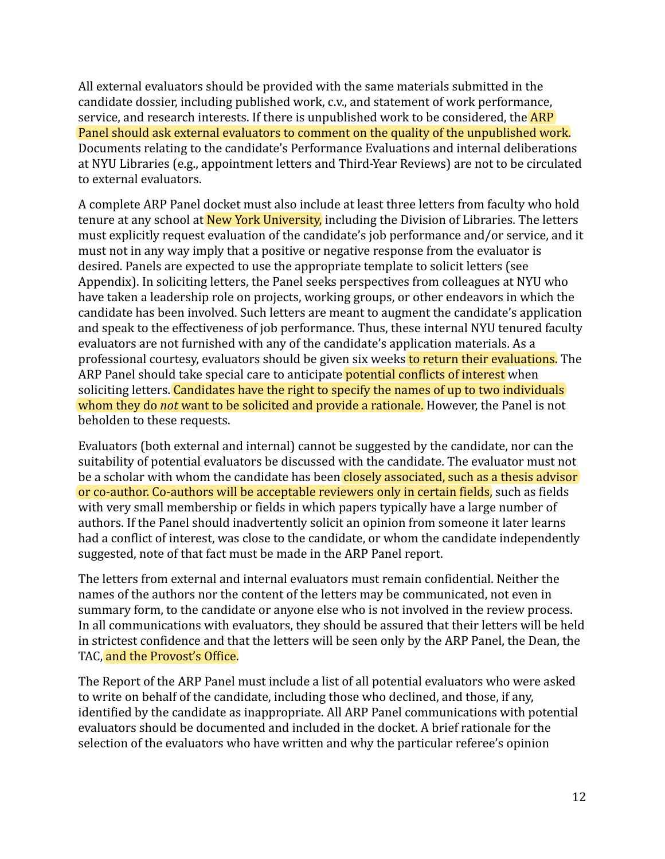All external evaluators should be provided with the same materials submitted in the candidate dossier, including published work, c.v., and statement of work performance, service, and research interests. If there is unpublished work to be considered, the **ARP** Panel should ask external evaluators to comment on the quality of the unpublished work. Documents relating to the candidate's Performance Evaluations and internal deliberations at NYU Libraries (e.g., appointment letters and Third-Year Reviews) are not to be circulated to external evaluators.

A complete ARP Panel docket must also include at least three letters from faculty who hold tenure at any school at New York University, including the Division of Libraries. The letters must explicitly request evaluation of the candidate's job performance and/or service, and it must not in any way imply that a positive or negative response from the evaluator is desired. Panels are expected to use the appropriate template to solicit letters (see Appendix). In soliciting letters, the Panel seeks perspectives from colleagues at NYU who have taken a leadership role on projects, working groups, or other endeavors in which the candidate has been involved. Such letters are meant to augment the candidate's application and speak to the effectiveness of job performance. Thus, these internal NYU tenured faculty evaluators are not furnished with any of the candidate's application materials. As a professional courtesy, evaluators should be given six weeks to return their evaluations. The ARP Panel should take special care to anticipate potential conflicts of interest when soliciting letters. Candidates have the right to specify the names of up to two individuals whom they do *not* want to be solicited and provide a rationale. However, the Panel is not beholden to these requests.

Evaluators (both external and internal) cannot be suggested by the candidate, nor can the suitability of potential evaluators be discussed with the candidate. The evaluator must not be a scholar with whom the candidate has been closely associated, such as a thesis advisor or co-author. Co-authors will be acceptable reviewers only in certain fields, such as fields with very small membership or fields in which papers typically have a large number of authors. If the Panel should inadvertently solicit an opinion from someone it later learns had a conflict of interest, was close to the candidate, or whom the candidate independently suggested, note of that fact must be made in the ARP Panel report.

The letters from external and internal evaluators must remain confidential. Neither the names of the authors nor the content of the letters may be communicated, not even in summary form, to the candidate or anyone else who is not involved in the review process. In all communications with evaluators, they should be assured that their letters will be held in strictest confidence and that the letters will be seen only by the ARP Panel, the Dean, the TAC, and the Provost's Office.

The Report of the ARP Panel must include a list of all potential evaluators who were asked to write on behalf of the candidate, including those who declined, and those, if any, identified by the candidate as inappropriate. All ARP Panel communications with potential evaluators should be documented and included in the docket. A brief rationale for the selection of the evaluators who have written and why the particular referee's opinion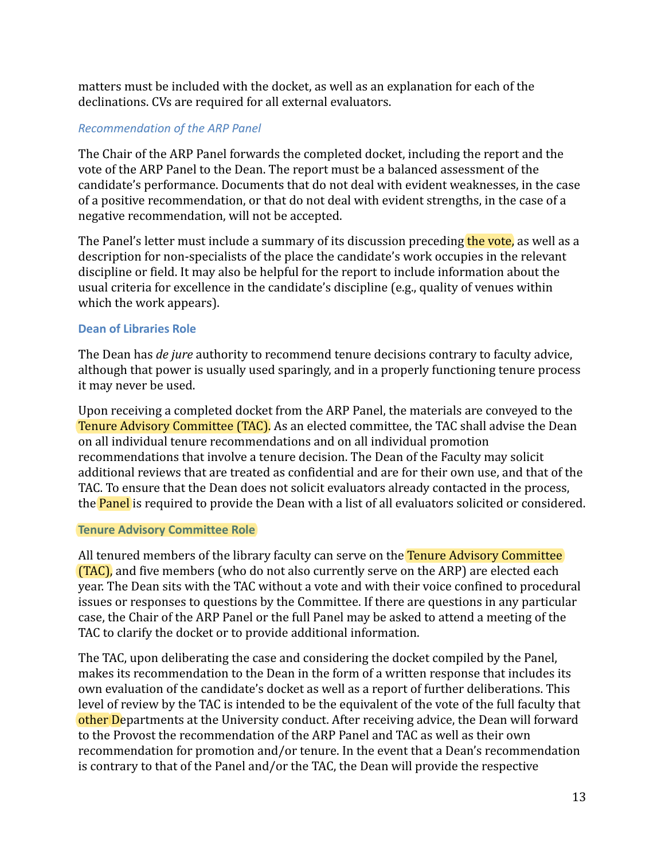matters must be included with the docket, as well as an explanation for each of the declinations. CVs are required for all external evaluators.

# *Recommendation of the ARP Panel*

The Chair of the ARP Panel forwards the completed docket, including the report and the vote of the ARP Panel to the Dean. The report must be a balanced assessment of the candidate's performance. Documents that do not deal with evident weaknesses, in the case of a positive recommendation, or that do not deal with evident strengths, in the case of a negative recommendation, will not be accepted.

The Panel's letter must include a summary of its discussion preceding the vote, as well as a description for non-specialists of the place the candidate's work occupies in the relevant discipline or field. It may also be helpful for the report to include information about the usual criteria for excellence in the candidate's discipline (e.g., quality of venues within which the work appears).

# <span id="page-20-0"></span>**Dean of Libraries Role**

The Dean has *de jure* authority to recommend tenure decisions contrary to faculty advice, although that power is usually used sparingly, and in a properly functioning tenure process it may never be used.

Upon receiving a completed docket from the ARP Panel, the materials are conveyed to the Tenure Advisory Committee (TAC). As an elected committee, the TAC shall advise the Dean on all individual tenure recommendations and on all individual promotion recommendations that involve a tenure decision. The Dean of the Faculty may solicit additional reviews that are treated as confidential and are for their own use, and that of the TAC. To ensure that the Dean does not solicit evaluators already contacted in the process, the **Panel** is required to provide the Dean with a list of all evaluators solicited or considered.

#### <span id="page-20-1"></span>**Tenure Advisory Committee Role**

All tenured members of the library faculty can serve on the Tenure Advisory Committee (TAC), and five members (who do not also currently serve on the ARP) are elected each year. The Dean sits with the TAC without a vote and with their voice confined to procedural issues or responses to questions by the Committee. If there are questions in any particular case, the Chair of the ARP Panel or the full Panel may be asked to attend a meeting of the TAC to clarify the docket or to provide additional information.

The TAC, upon deliberating the case and considering the docket compiled by the Panel, makes its recommendation to the Dean in the form of a written response that includes its own evaluation of the candidate's docket as well as a report of further deliberations. This level of review by the TAC is intended to be the equivalent of the vote of the full faculty that other Departments at the University conduct. After receiving advice, the Dean will forward to the Provost the recommendation of the ARP Panel and TAC as well as their own recommendation for promotion and/or tenure. In the event that a Dean's recommendation is contrary to that of the Panel and/or the TAC, the Dean will provide the respective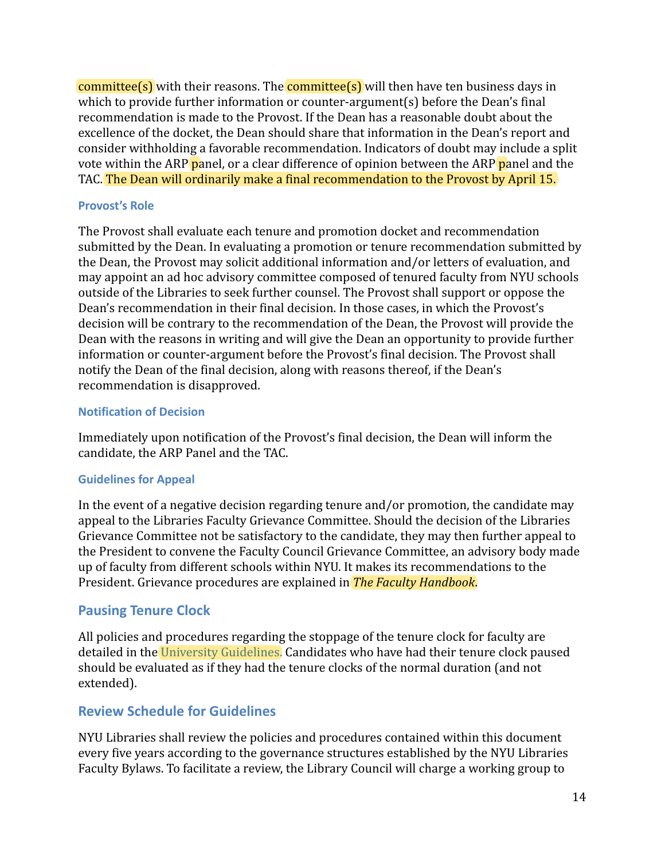$committed(s)$  with their reasons. The **committee(s)** will then have ten business days in which to provide further information or counter-argument(s) before the Dean's final recommendation is made to the Provost. If the Dean has a reasonable doubt about the excellence of the docket, the Dean should share that information in the Dean's report and consider withholding a favorable recommendation. Indicators of doubt may include a split vote within the ARP panel, or a clear difference of opinion between the ARP panel and the TAC. The Dean will ordinarily make a final recommendation to the Provost by April 15.

### **Provost's Role**

The Provost shall evaluate each tenure and promotion docket and recommendation submitted by the Dean. In evaluating a promotion or tenure recommendation submitted by the Dean, the Provost may solicit additional information and/or letters of evaluation, and may appoint an ad hoc advisory committee composed of tenured faculty from NYU schools outside of the Libraries to seek further counsel. The Provost shall support or oppose the Dean's recommendation in their final decision. In those cases, in which the Provost's decision will be contrary to the recommendation of the Dean, the Provost will provide the Dean with the reasons in writing and will give the Dean an opportunity to provide further information or counter-argument before the Provost's final decision. The Provost shall notify the Dean of the final decision, along with reasons thereof, if the Dean's recommendation is disapproved.

### <span id="page-21-0"></span>**Notification of Decision**

Immediately upon notification of the Provost's final decision, the Dean will inform the candidate, the ARP Panel and the TAC.

# <span id="page-21-1"></span>**Guidelines for Appeal**

In the event of a negative decision regarding tenure and/or promotion, the candidate may appeal to the Libraries Faculty Grievance Committee. Should the decision of the Libraries Grievance Committee not be satisfactory to the candidate, they may then further appeal to the President to convene the Faculty Council Grievance Committee, an advisory body made up of faculty from different schools within NYU. It makes its recommendations to the President. Grievance procedures are explained in *The Faculty Handbook*.

# <span id="page-21-2"></span>**Pausing Tenure Clock**

All policies and procedures regarding the stoppage of the tenure clock for faculty are detailed in the [University Guidelines.](https://www.nyu.edu/about/policies-guidelines-compliance/policies-and-guidelines/promotion-and-tenure-guidelines.html) Candidates who have had their tenure clock paused should be evaluated as if they had the tenure clocks of the normal duration (and not extended).

# <span id="page-21-3"></span>**Review Schedule for Guidelines**

NYU Libraries shall review the policies and procedures contained within this document every five years according to the governance structures established by the NYU Libraries Faculty Bylaws. To facilitate a review, the Library Council will charge a working group to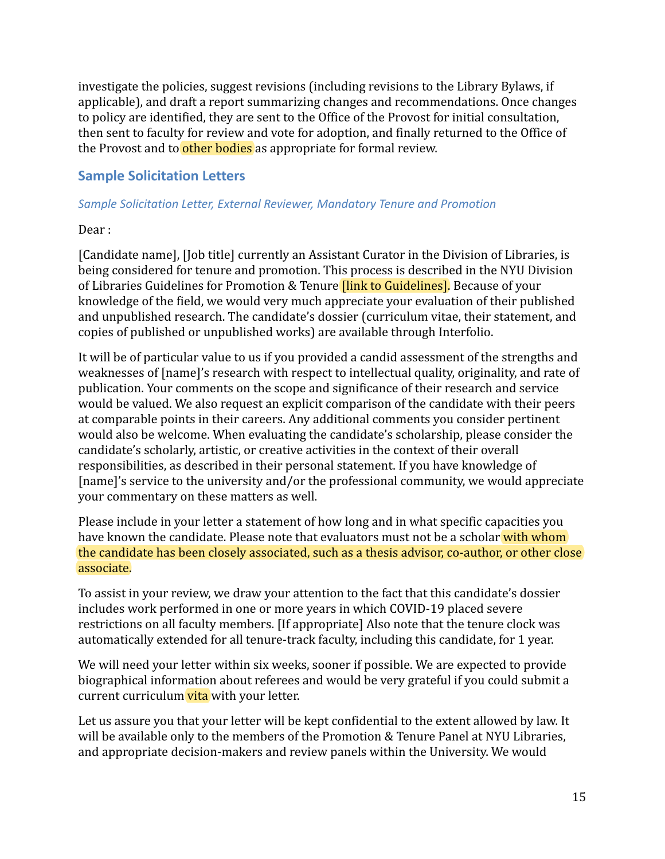investigate the policies, suggest revisions (including revisions to the Library Bylaws, if applicable), and draft a report summarizing changes and recommendations. Once changes to policy are identified, they are sent to the Office of the Provost for initial consultation, then sent to faculty for review and vote for adoption, and finally returned to the Office of the Provost and to other bodies as appropriate for formal review.

# <span id="page-22-0"></span>**Sample Solicitation Letters**

### *Sample Solicitation Letter, External Reviewer, Mandatory Tenure and Promotion*

Dear :

[Candidate name], [Job title] currently an Assistant Curator in the Division of Libraries, is being considered for tenure and promotion. This process is described in the NYU Division of Libraries Guidelines for Promotion & Tenure [link to Guidelines]. Because of your knowledge of the field, we would very much appreciate your evaluation of their published and unpublished research. The candidate's dossier (curriculum vitae, their statement, and copies of published or unpublished works) are available through Interfolio.

It will be of particular value to us if you provided a candid assessment of the strengths and weaknesses of [name]'s research with respect to intellectual quality, originality, and rate of publication. Your comments on the scope and significance of their research and service would be valued. We also request an explicit comparison of the candidate with their peers at comparable points in their careers. Any additional comments you consider pertinent would also be welcome. When evaluating the candidate's scholarship, please consider the candidate's scholarly, artistic, or creative activities in the context of their overall responsibilities, as described in their personal statement. If you have knowledge of [name]'s service to the university and/or the professional community, we would appreciate your commentary on these matters as well.

Please include in your letter a statement of how long and in what specific capacities you have known the candidate. Please note that evaluators must not be a scholar with whom the candidate has been closely associated, such as a thesis advisor, co-author, or other close associate.

To assist in your review, we draw your attention to the fact that this candidate's dossier includes work performed in one or more years in which COVID-19 placed severe restrictions on all faculty members. [If appropriate] Also note that the tenure clock was automatically extended for all tenure-track faculty, including this candidate, for 1 year.

We will need your letter within six weeks, sooner if possible. We are expected to provide biographical information about referees and would be very grateful if you could submit a current curriculum vita with your letter.

Let us assure you that your letter will be kept confidential to the extent allowed by law. It will be available only to the members of the Promotion & Tenure Panel at NYU Libraries, and appropriate decision-makers and review panels within the University. We would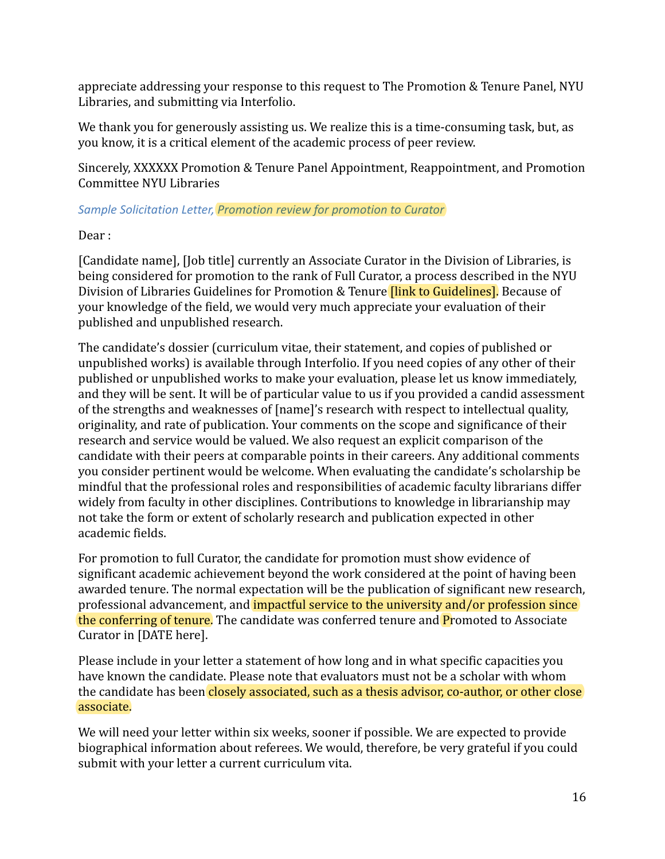appreciate addressing your response to this request to The Promotion & Tenure Panel, NYU Libraries, and submitting via Interfolio.

We thank you for generously assisting us. We realize this is a time-consuming task, but, as you know, it is a critical element of the academic process of peer review.

Sincerely, XXXXXX Promotion & Tenure Panel Appointment, Reappointment, and Promotion Committee NYU Libraries

# *Sample Solicitation Letter, Promotion review for promotion to Curator*

Dear :

[Candidate name], [Job title] currently an Associate Curator in the Division of Libraries, is being considered for promotion to the rank of Full Curator, a process described in the NYU Division of Libraries Guidelines for Promotion & Tenure **[link to Guidelines]**. Because of your knowledge of the field, we would very much appreciate your evaluation of their published and unpublished research.

The candidate's dossier (curriculum vitae, their statement, and copies of published or unpublished works) is available through Interfolio. If you need copies of any other of their published or unpublished works to make your evaluation, please let us know immediately, and they will be sent. It will be of particular value to us if you provided a candid assessment of the strengths and weaknesses of [name]'s research with respect to intellectual quality, originality, and rate of publication. Your comments on the scope and significance of their research and service would be valued. We also request an explicit comparison of the candidate with their peers at comparable points in their careers. Any additional comments you consider pertinent would be welcome. When evaluating the candidate's scholarship be mindful that the professional roles and responsibilities of academic faculty librarians differ widely from faculty in other disciplines. Contributions to knowledge in librarianship may not take the form or extent of scholarly research and publication expected in other academic fields.

For promotion to full Curator, the candidate for promotion must show evidence of significant academic achievement beyond the work considered at the point of having been awarded tenure. The normal expectation will be the publication of significant new research, professional advancement, and impactful service to the university and/or profession since the conferring of tenure. The candidate was conferred tenure and **P**romoted to Associate Curator in [DATE here].

Please include in your letter a statement of how long and in what specific capacities you have known the candidate. Please note that evaluators must not be a scholar with whom the candidate has been closely associated, such as a thesis advisor, co-author, or other close associate.

We will need your letter within six weeks, sooner if possible. We are expected to provide biographical information about referees. We would, therefore, be very grateful if you could submit with your letter a current curriculum vita.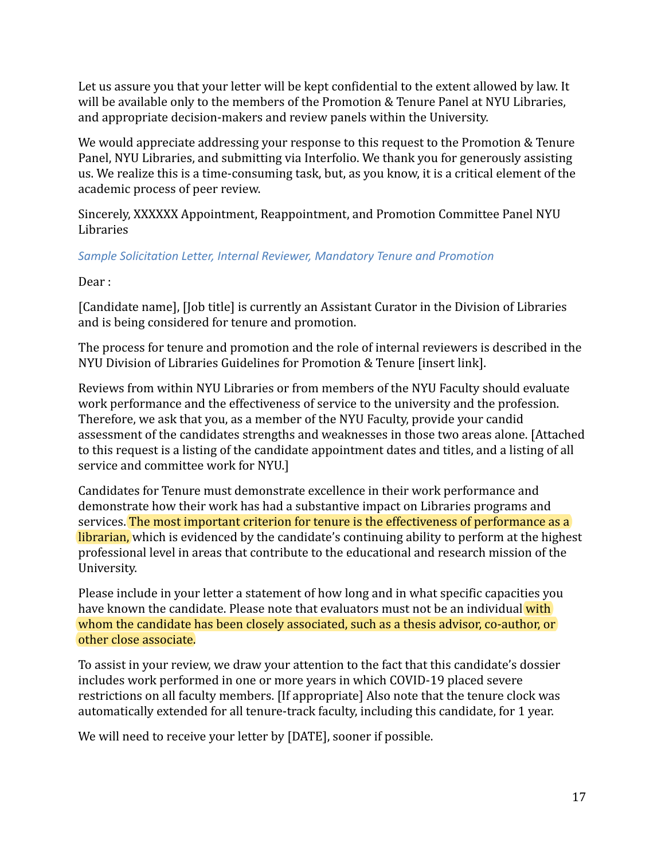Let us assure you that your letter will be kept confidential to the extent allowed by law. It will be available only to the members of the Promotion & Tenure Panel at NYU Libraries, and appropriate decision-makers and review panels within the University.

We would appreciate addressing your response to this request to the Promotion & Tenure Panel, NYU Libraries, and submitting via Interfolio. We thank you for generously assisting us. We realize this is a time-consuming task, but, as you know, it is a critical element of the academic process of peer review.

Sincerely, XXXXXX Appointment, Reappointment, and Promotion Committee Panel NYU Libraries

# *Sample Solicitation Letter, Internal Reviewer, Mandatory Tenure and Promotion*

Dear :

[Candidate name], [Job title] is currently an Assistant Curator in the Division of Libraries and is being considered for tenure and promotion.

The process for tenure and promotion and the role of internal reviewers is described in the NYU Division of Libraries Guidelines for Promotion & Tenure [insert link].

Reviews from within NYU Libraries or from members of the NYU Faculty should evaluate work performance and the effectiveness of service to the university and the profession. Therefore, we ask that you, as a member of the NYU Faculty, provide your candid assessment of the candidates strengths and weaknesses in those two areas alone. [Attached to this request is a listing of the candidate appointment dates and titles, and a listing of all service and committee work for NYU.]

Candidates for Tenure must demonstrate excellence in their work performance and demonstrate how their work has had a substantive impact on Libraries programs and services. The most important criterion for tenure is the effectiveness of performance as a librarian, which is evidenced by the candidate's continuing ability to perform at the highest professional level in areas that contribute to the educational and research mission of the University.

Please include in your letter a statement of how long and in what specific capacities you have known the candidate. Please note that evaluators must not be an individual with whom the candidate has been closely associated, such as a thesis advisor, co-author, or other close associate.

To assist in your review, we draw your attention to the fact that this candidate's dossier includes work performed in one or more years in which COVID-19 placed severe restrictions on all faculty members. [If appropriate] Also note that the tenure clock was automatically extended for all tenure-track faculty, including this candidate, for 1 year.

We will need to receive your letter by [DATE], sooner if possible.